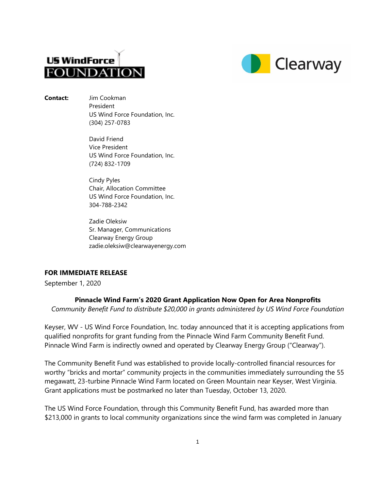



**Contact:** Jim Cookman President US Wind Force Foundation, Inc. (304) 257-0783

> David Friend Vice President US Wind Force Foundation, Inc. (724) 832-1709

> Cindy Pyles Chair, Allocation Committee US Wind Force Foundation, Inc. 304-788-2342

Zadie Oleksiw Sr. Manager, Communications Clearway Energy Group zadie.oleksiw@clearwayenergy.com

# **FOR IMMEDIATE RELEASE**

September 1, 2020

## **Pinnacle Wind Farm's 2020 Grant Application Now Open for Area Nonprofits**

*Community Benefit Fund to distribute \$20,000 in grants administered by US Wind Force Foundation* 

Keyser, WV - US Wind Force Foundation, Inc. today announced that it is accepting applications from qualified nonprofits for grant funding from the Pinnacle Wind Farm Community Benefit Fund. Pinnacle Wind Farm is indirectly owned and operated by Clearway Energy Group ("Clearway").

The Community Benefit Fund was established to provide locally-controlled financial resources for worthy "bricks and mortar" community projects in the communities immediately surrounding the 55 megawatt, 23-turbine Pinnacle Wind Farm located on Green Mountain near Keyser, West Virginia. Grant applications must be postmarked no later than Tuesday, October 13, 2020.

The US Wind Force Foundation, through this Community Benefit Fund, has awarded more than \$213,000 in grants to local community organizations since the wind farm was completed in January